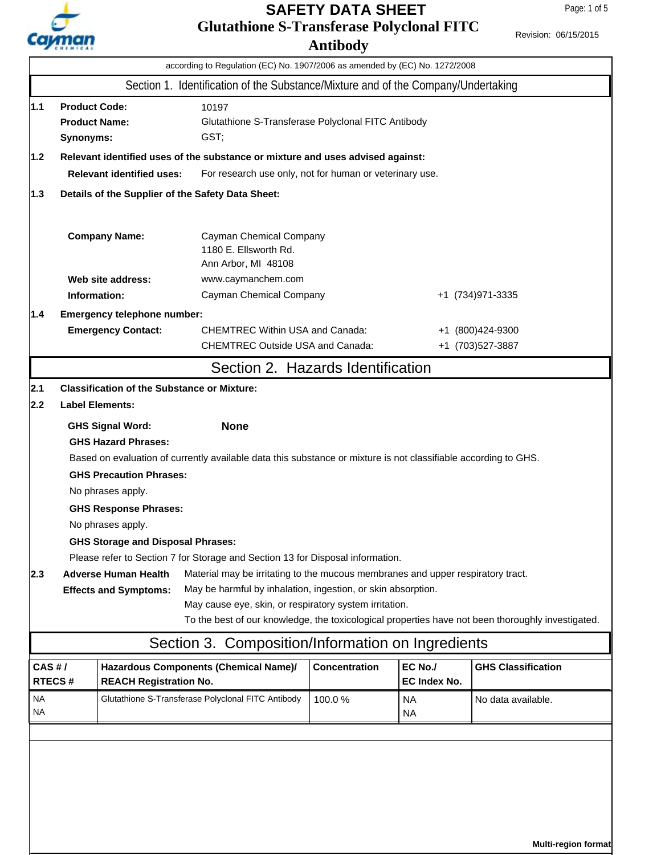

### **Glutathione S-Transferase Polyclonal FITC Antibody SAFETY DATA SHEET**

|                                         | according to Regulation (EC) No. 1907/2006 as amended by (EC) No. 1272/2008                                                                                                                                                                                                                                                                                                                                                                                     |                                                                                                                                                                                                                    |                                                                                                                                |                      |                                |                                       |
|-----------------------------------------|-----------------------------------------------------------------------------------------------------------------------------------------------------------------------------------------------------------------------------------------------------------------------------------------------------------------------------------------------------------------------------------------------------------------------------------------------------------------|--------------------------------------------------------------------------------------------------------------------------------------------------------------------------------------------------------------------|--------------------------------------------------------------------------------------------------------------------------------|----------------------|--------------------------------|---------------------------------------|
|                                         |                                                                                                                                                                                                                                                                                                                                                                                                                                                                 |                                                                                                                                                                                                                    | Section 1. Identification of the Substance/Mixture and of the Company/Undertaking                                              |                      |                                |                                       |
| 1.1<br>1.2                              |                                                                                                                                                                                                                                                                                                                                                                                                                                                                 | <b>Product Code:</b><br>10197<br><b>Product Name:</b><br>Glutathione S-Transferase Polyclonal FITC Antibody<br>GST;<br>Synonyms:<br>Relevant identified uses of the substance or mixture and uses advised against: |                                                                                                                                |                      |                                |                                       |
|                                         |                                                                                                                                                                                                                                                                                                                                                                                                                                                                 | <b>Relevant identified uses:</b>                                                                                                                                                                                   |                                                                                                                                |                      |                                |                                       |
| 1.3                                     | For research use only, not for human or veterinary use.<br>Details of the Supplier of the Safety Data Sheet:                                                                                                                                                                                                                                                                                                                                                    |                                                                                                                                                                                                                    |                                                                                                                                |                      |                                |                                       |
|                                         |                                                                                                                                                                                                                                                                                                                                                                                                                                                                 |                                                                                                                                                                                                                    |                                                                                                                                |                      |                                |                                       |
|                                         |                                                                                                                                                                                                                                                                                                                                                                                                                                                                 | <b>Company Name:</b>                                                                                                                                                                                               | Cayman Chemical Company<br>1180 E. Ellsworth Rd.<br>Ann Arbor, MI 48108                                                        |                      |                                |                                       |
|                                         |                                                                                                                                                                                                                                                                                                                                                                                                                                                                 | Web site address:                                                                                                                                                                                                  | www.caymanchem.com                                                                                                             |                      |                                |                                       |
| Information:<br>Cayman Chemical Company |                                                                                                                                                                                                                                                                                                                                                                                                                                                                 |                                                                                                                                                                                                                    |                                                                                                                                |                      |                                | +1 (734) 971-3335                     |
| 1.4                                     |                                                                                                                                                                                                                                                                                                                                                                                                                                                                 | Emergency telephone number:                                                                                                                                                                                        |                                                                                                                                |                      |                                |                                       |
|                                         |                                                                                                                                                                                                                                                                                                                                                                                                                                                                 | <b>Emergency Contact:</b>                                                                                                                                                                                          | <b>CHEMTREC Within USA and Canada:</b><br><b>CHEMTREC Outside USA and Canada:</b>                                              |                      |                                | +1 (800)424-9300<br>+1 (703) 527-3887 |
|                                         |                                                                                                                                                                                                                                                                                                                                                                                                                                                                 |                                                                                                                                                                                                                    |                                                                                                                                |                      |                                |                                       |
|                                         |                                                                                                                                                                                                                                                                                                                                                                                                                                                                 |                                                                                                                                                                                                                    | Section 2. Hazards Identification                                                                                              |                      |                                |                                       |
| 2.1                                     |                                                                                                                                                                                                                                                                                                                                                                                                                                                                 | <b>Classification of the Substance or Mixture:</b>                                                                                                                                                                 |                                                                                                                                |                      |                                |                                       |
| 2.2<br><b>Label Elements:</b>           |                                                                                                                                                                                                                                                                                                                                                                                                                                                                 |                                                                                                                                                                                                                    |                                                                                                                                |                      |                                |                                       |
|                                         |                                                                                                                                                                                                                                                                                                                                                                                                                                                                 | <b>GHS Signal Word:</b><br><b>GHS Hazard Phrases:</b><br><b>GHS Precaution Phrases:</b><br>No phrases apply.<br><b>GHS Response Phrases:</b><br>No phrases apply.                                                  | <b>None</b><br>Based on evaluation of currently available data this substance or mixture is not classifiable according to GHS. |                      |                                |                                       |
|                                         |                                                                                                                                                                                                                                                                                                                                                                                                                                                                 | <b>GHS Storage and Disposal Phrases:</b>                                                                                                                                                                           |                                                                                                                                |                      |                                |                                       |
| $ 2.3\rangle$                           | Please refer to Section 7 for Storage and Section 13 for Disposal information.<br><b>Adverse Human Health</b><br>Material may be irritating to the mucous membranes and upper respiratory tract.<br>May be harmful by inhalation, ingestion, or skin absorption.<br><b>Effects and Symptoms:</b><br>May cause eye, skin, or respiratory system irritation.<br>To the best of our knowledge, the toxicological properties have not been thoroughly investigated. |                                                                                                                                                                                                                    |                                                                                                                                |                      |                                |                                       |
|                                         |                                                                                                                                                                                                                                                                                                                                                                                                                                                                 |                                                                                                                                                                                                                    | Section 3. Composition/Information on Ingredients                                                                              |                      |                                |                                       |
| $CAS$ #/<br><b>RTECS#</b>               |                                                                                                                                                                                                                                                                                                                                                                                                                                                                 | Hazardous Components (Chemical Name)/<br><b>REACH Registration No.</b>                                                                                                                                             |                                                                                                                                | <b>Concentration</b> | EC No./<br><b>EC Index No.</b> | <b>GHS Classification</b>             |
| NA.<br><b>NA</b>                        |                                                                                                                                                                                                                                                                                                                                                                                                                                                                 | Glutathione S-Transferase Polyclonal FITC Antibody                                                                                                                                                                 |                                                                                                                                | 100.0%               | NA.<br><b>NA</b>               | No data available.                    |
|                                         |                                                                                                                                                                                                                                                                                                                                                                                                                                                                 |                                                                                                                                                                                                                    |                                                                                                                                |                      |                                |                                       |
|                                         |                                                                                                                                                                                                                                                                                                                                                                                                                                                                 |                                                                                                                                                                                                                    |                                                                                                                                |                      |                                |                                       |

**Multi-region format**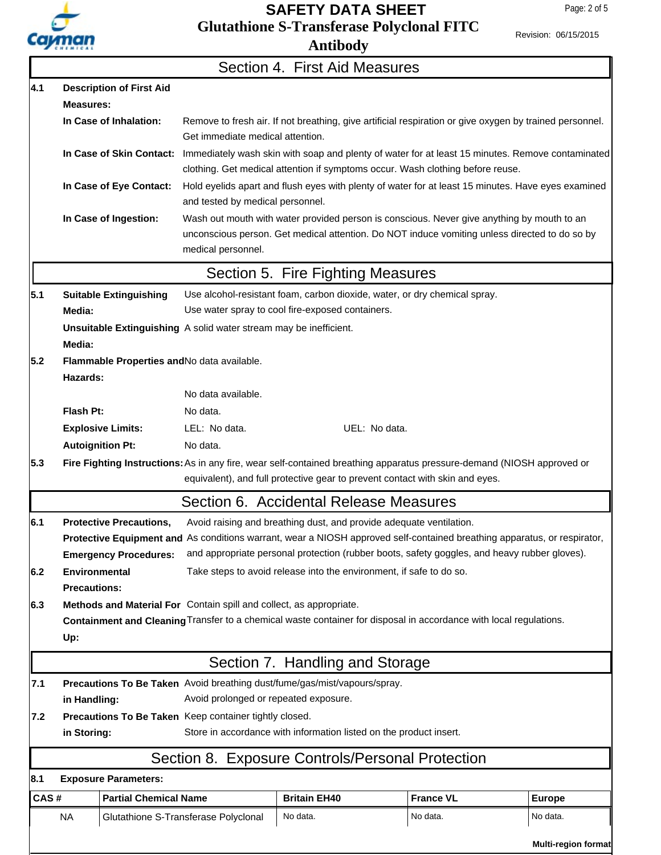

## **Glutathione S-Transferase Polyclonal FITC SAFETY DATA SHEET**

Page: 2 of 5

Revision: 06/15/2015

|                                                                |                                                                                                                                                                                                        |                                 |                                                                   | Section 4. First Aid Measures                                                                                                                                                                               |                  |               |  |
|----------------------------------------------------------------|--------------------------------------------------------------------------------------------------------------------------------------------------------------------------------------------------------|---------------------------------|-------------------------------------------------------------------|-------------------------------------------------------------------------------------------------------------------------------------------------------------------------------------------------------------|------------------|---------------|--|
| 4.1                                                            |                                                                                                                                                                                                        | <b>Description of First Aid</b> |                                                                   |                                                                                                                                                                                                             |                  |               |  |
|                                                                | <b>Measures:</b>                                                                                                                                                                                       |                                 |                                                                   |                                                                                                                                                                                                             |                  |               |  |
|                                                                |                                                                                                                                                                                                        | In Case of Inhalation:          | Get immediate medical attention.                                  | Remove to fresh air. If not breathing, give artificial respiration or give oxygen by trained personnel.                                                                                                     |                  |               |  |
|                                                                |                                                                                                                                                                                                        |                                 |                                                                   | In Case of Skin Contact: Immediately wash skin with soap and plenty of water for at least 15 minutes. Remove contaminated<br>clothing. Get medical attention if symptoms occur. Wash clothing before reuse. |                  |               |  |
|                                                                |                                                                                                                                                                                                        | In Case of Eye Contact:         | and tested by medical personnel.                                  | Hold eyelids apart and flush eyes with plenty of water for at least 15 minutes. Have eyes examined                                                                                                          |                  |               |  |
|                                                                |                                                                                                                                                                                                        | In Case of Ingestion:           | medical personnel.                                                | Wash out mouth with water provided person is conscious. Never give anything by mouth to an<br>unconscious person. Get medical attention. Do NOT induce vomiting unless directed to do so by                 |                  |               |  |
|                                                                |                                                                                                                                                                                                        |                                 |                                                                   | Section 5. Fire Fighting Measures                                                                                                                                                                           |                  |               |  |
| 5.1                                                            |                                                                                                                                                                                                        | <b>Suitable Extinguishing</b>   |                                                                   | Use alcohol-resistant foam, carbon dioxide, water, or dry chemical spray.                                                                                                                                   |                  |               |  |
|                                                                | Media:                                                                                                                                                                                                 |                                 |                                                                   | Use water spray to cool fire-exposed containers.                                                                                                                                                            |                  |               |  |
|                                                                | Media:                                                                                                                                                                                                 |                                 | Unsuitable Extinguishing A solid water stream may be inefficient. |                                                                                                                                                                                                             |                  |               |  |
| 5.2<br>Flammable Properties and No data available.<br>Hazards: |                                                                                                                                                                                                        |                                 |                                                                   |                                                                                                                                                                                                             |                  |               |  |
|                                                                |                                                                                                                                                                                                        |                                 | No data available.                                                |                                                                                                                                                                                                             |                  |               |  |
|                                                                | Flash Pt:                                                                                                                                                                                              |                                 | No data.                                                          |                                                                                                                                                                                                             |                  |               |  |
|                                                                |                                                                                                                                                                                                        | <b>Explosive Limits:</b>        | LEL: No data.                                                     | UEL: No data.                                                                                                                                                                                               |                  |               |  |
|                                                                | <b>Autoignition Pt:</b>                                                                                                                                                                                |                                 | No data.                                                          |                                                                                                                                                                                                             |                  |               |  |
| 5.3                                                            | Fire Fighting Instructions: As in any fire, wear self-contained breathing apparatus pressure-demand (NIOSH approved or<br>equivalent), and full protective gear to prevent contact with skin and eyes. |                                 |                                                                   |                                                                                                                                                                                                             |                  |               |  |
|                                                                |                                                                                                                                                                                                        |                                 |                                                                   | Section 6. Accidental Release Measures                                                                                                                                                                      |                  |               |  |
| 6.1                                                            |                                                                                                                                                                                                        | <b>Protective Precautions,</b>  |                                                                   | Avoid raising and breathing dust, and provide adequate ventilation.                                                                                                                                         |                  |               |  |
|                                                                |                                                                                                                                                                                                        |                                 |                                                                   | Protective Equipment and As conditions warrant, wear a NIOSH approved self-contained breathing apparatus, or respirator,                                                                                    |                  |               |  |
|                                                                |                                                                                                                                                                                                        | <b>Emergency Procedures:</b>    |                                                                   | and appropriate personal protection (rubber boots, safety goggles, and heavy rubber gloves).                                                                                                                |                  |               |  |
| 6.2                                                            | <b>Environmental</b><br>Take steps to avoid release into the environment, if safe to do so.<br><b>Precautions:</b>                                                                                     |                                 |                                                                   |                                                                                                                                                                                                             |                  |               |  |
| 6.3                                                            | Methods and Material For Contain spill and collect, as appropriate.                                                                                                                                    |                                 |                                                                   |                                                                                                                                                                                                             |                  |               |  |
|                                                                | Containment and Cleaning Transfer to a chemical waste container for disposal in accordance with local regulations.<br>Up:                                                                              |                                 |                                                                   |                                                                                                                                                                                                             |                  |               |  |
|                                                                | Section 7. Handling and Storage                                                                                                                                                                        |                                 |                                                                   |                                                                                                                                                                                                             |                  |               |  |
| 7.1                                                            | Precautions To Be Taken Avoid breathing dust/fume/gas/mist/vapours/spray.                                                                                                                              |                                 |                                                                   |                                                                                                                                                                                                             |                  |               |  |
| Avoid prolonged or repeated exposure.<br>in Handling:          |                                                                                                                                                                                                        |                                 |                                                                   |                                                                                                                                                                                                             |                  |               |  |
| 7.2                                                            | Precautions To Be Taken Keep container tightly closed.                                                                                                                                                 |                                 |                                                                   |                                                                                                                                                                                                             |                  |               |  |
|                                                                | in Storing:                                                                                                                                                                                            |                                 |                                                                   | Store in accordance with information listed on the product insert.                                                                                                                                          |                  |               |  |
|                                                                |                                                                                                                                                                                                        |                                 |                                                                   | Section 8. Exposure Controls/Personal Protection                                                                                                                                                            |                  |               |  |
| 8.1                                                            |                                                                                                                                                                                                        | <b>Exposure Parameters:</b>     |                                                                   |                                                                                                                                                                                                             |                  |               |  |
| CAS#                                                           |                                                                                                                                                                                                        | <b>Partial Chemical Name</b>    |                                                                   | <b>Britain EH40</b>                                                                                                                                                                                         | <b>France VL</b> | <b>Europe</b> |  |
|                                                                | <b>NA</b>                                                                                                                                                                                              |                                 | Glutathione S-Transferase Polyclonal                              | No data.                                                                                                                                                                                                    | No data.         | No data.      |  |

**Multi-region format**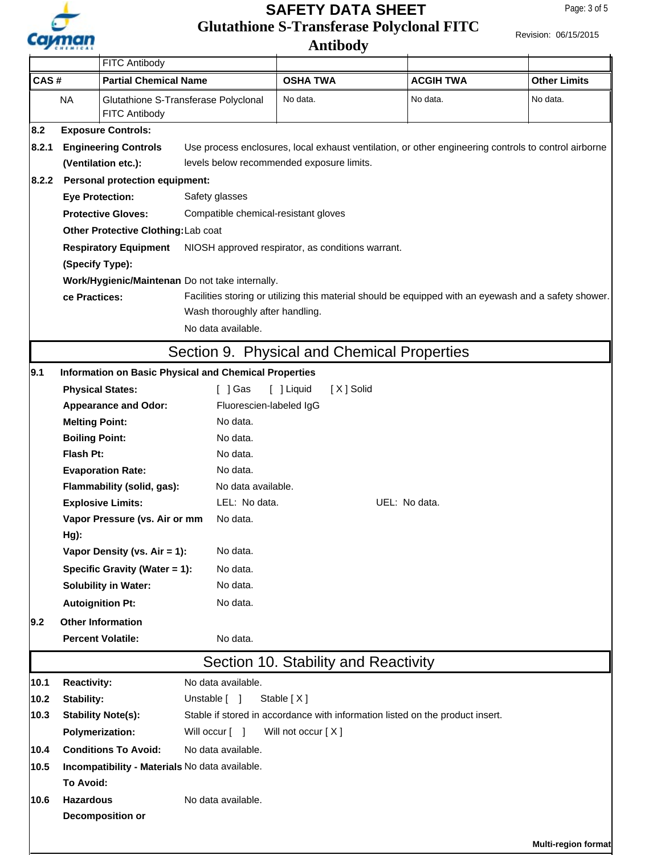

# **Glutathione S-Transferase Polyclonal FITC SAFETY DATA SHEET**

**Antibody**

Revision: 06/15/2015

| CAS#<br><b>NA</b>                                                                                                  |                                                   | FITC Antibody                                                                         |                                                              |                                                                                                       |                              |                                 |     |  |
|--------------------------------------------------------------------------------------------------------------------|---------------------------------------------------|---------------------------------------------------------------------------------------|--------------------------------------------------------------|-------------------------------------------------------------------------------------------------------|------------------------------|---------------------------------|-----|--|
|                                                                                                                    |                                                   | <b>Partial Chemical Name</b><br>Glutathione S-Transferase Polyclonal<br>FITC Antibody |                                                              | <b>OSHA TWA</b><br>No data.                                                                           | <b>ACGIH TWA</b><br>No data. | <b>Other Limits</b><br>No data. |     |  |
|                                                                                                                    |                                                   |                                                                                       |                                                              |                                                                                                       |                              |                                 | 8.2 |  |
| 8.2.1                                                                                                              |                                                   | <b>Engineering Controls</b>                                                           |                                                              | Use process enclosures, local exhaust ventilation, or other engineering controls to control airborne  |                              |                                 |     |  |
|                                                                                                                    | (Ventilation etc.):                               |                                                                                       |                                                              | levels below recommended exposure limits.                                                             |                              |                                 |     |  |
| 8.2.2                                                                                                              |                                                   | <b>Personal protection equipment:</b>                                                 |                                                              |                                                                                                       |                              |                                 |     |  |
|                                                                                                                    |                                                   | <b>Eye Protection:</b>                                                                | Safety glasses                                               |                                                                                                       |                              |                                 |     |  |
|                                                                                                                    |                                                   | <b>Protective Gloves:</b>                                                             | Compatible chemical-resistant gloves                         |                                                                                                       |                              |                                 |     |  |
|                                                                                                                    |                                                   | Other Protective Clothing: Lab coat                                                   |                                                              |                                                                                                       |                              |                                 |     |  |
|                                                                                                                    |                                                   | <b>Respiratory Equipment</b>                                                          | NIOSH approved respirator, as conditions warrant.            |                                                                                                       |                              |                                 |     |  |
|                                                                                                                    | (Specify Type):                                   |                                                                                       |                                                              |                                                                                                       |                              |                                 |     |  |
|                                                                                                                    |                                                   |                                                                                       | Work/Hygienic/Maintenan Do not take internally.              |                                                                                                       |                              |                                 |     |  |
|                                                                                                                    | ce Practices:                                     |                                                                                       |                                                              | Facilities storing or utilizing this material should be equipped with an eyewash and a safety shower. |                              |                                 |     |  |
|                                                                                                                    |                                                   |                                                                                       | Wash thoroughly after handling.                              |                                                                                                       |                              |                                 |     |  |
|                                                                                                                    |                                                   |                                                                                       | No data available.                                           |                                                                                                       |                              |                                 |     |  |
|                                                                                                                    |                                                   |                                                                                       |                                                              | Section 9. Physical and Chemical Properties                                                           |                              |                                 |     |  |
| 9.1                                                                                                                |                                                   |                                                                                       | <b>Information on Basic Physical and Chemical Properties</b> |                                                                                                       |                              |                                 |     |  |
|                                                                                                                    | <b>Physical States:</b>                           |                                                                                       | $[$ ] Gas                                                    | [ ] Liquid<br>[X] Solid                                                                               |                              |                                 |     |  |
|                                                                                                                    |                                                   | <b>Appearance and Odor:</b>                                                           | Fluorescien-labeled IgG                                      |                                                                                                       |                              |                                 |     |  |
|                                                                                                                    | <b>Melting Point:</b>                             |                                                                                       | No data.                                                     |                                                                                                       |                              |                                 |     |  |
|                                                                                                                    | <b>Boiling Point:</b>                             |                                                                                       | No data.                                                     |                                                                                                       |                              |                                 |     |  |
|                                                                                                                    | Flash Pt:                                         |                                                                                       | No data.                                                     |                                                                                                       |                              |                                 |     |  |
|                                                                                                                    |                                                   | <b>Evaporation Rate:</b><br>No data.                                                  |                                                              |                                                                                                       |                              |                                 |     |  |
|                                                                                                                    |                                                   | Flammability (solid, gas):                                                            | No data available.                                           |                                                                                                       |                              |                                 |     |  |
|                                                                                                                    |                                                   | <b>Explosive Limits:</b>                                                              | LEL: No data.                                                |                                                                                                       | UEL: No data.                |                                 |     |  |
|                                                                                                                    | Hg):                                              | Vapor Pressure (vs. Air or mm                                                         | No data.                                                     |                                                                                                       |                              |                                 |     |  |
|                                                                                                                    |                                                   | Vapor Density (vs. Air = 1):                                                          | No data.                                                     |                                                                                                       |                              |                                 |     |  |
|                                                                                                                    |                                                   | Specific Gravity (Water = 1):                                                         | No data.                                                     |                                                                                                       |                              |                                 |     |  |
|                                                                                                                    |                                                   | <b>Solubility in Water:</b>                                                           | No data.                                                     |                                                                                                       |                              |                                 |     |  |
|                                                                                                                    |                                                   | <b>Autoignition Pt:</b>                                                               | No data.                                                     |                                                                                                       |                              |                                 |     |  |
| $ 9.2\rangle$                                                                                                      | <b>Other Information</b>                          |                                                                                       |                                                              |                                                                                                       |                              |                                 |     |  |
|                                                                                                                    |                                                   | <b>Percent Volatile:</b>                                                              | No data.                                                     |                                                                                                       |                              |                                 |     |  |
|                                                                                                                    | Section 10. Stability and Reactivity              |                                                                                       |                                                              |                                                                                                       |                              |                                 |     |  |
| 10.1                                                                                                               | <b>Reactivity:</b>                                |                                                                                       | No data available.                                           |                                                                                                       |                              |                                 |     |  |
| 10.2                                                                                                               | Stability:                                        |                                                                                       | Unstable [ ]                                                 | Stable [X]                                                                                            |                              |                                 |     |  |
| Stable if stored in accordance with information listed on the product insert.<br>10.3<br><b>Stability Note(s):</b> |                                                   |                                                                                       |                                                              |                                                                                                       |                              |                                 |     |  |
|                                                                                                                    |                                                   | <b>Polymerization:</b>                                                                | Will occur [ ]                                               | Will not occur [X]                                                                                    |                              |                                 |     |  |
| 10.4                                                                                                               | <b>Conditions To Avoid:</b><br>No data available. |                                                                                       |                                                              |                                                                                                       |                              |                                 |     |  |
| 10.5                                                                                                               | Incompatibility - Materials No data available.    |                                                                                       |                                                              |                                                                                                       |                              |                                 |     |  |
|                                                                                                                    | To Avoid:                                         |                                                                                       |                                                              |                                                                                                       |                              |                                 |     |  |
| 10.6                                                                                                               | <b>Hazardous</b>                                  |                                                                                       | No data available.                                           |                                                                                                       |                              |                                 |     |  |
|                                                                                                                    |                                                   | <b>Decomposition or</b>                                                               |                                                              |                                                                                                       |                              |                                 |     |  |
|                                                                                                                    |                                                   |                                                                                       |                                                              |                                                                                                       |                              |                                 |     |  |
|                                                                                                                    |                                                   |                                                                                       |                                                              |                                                                                                       |                              | <b>Multi-region format</b>      |     |  |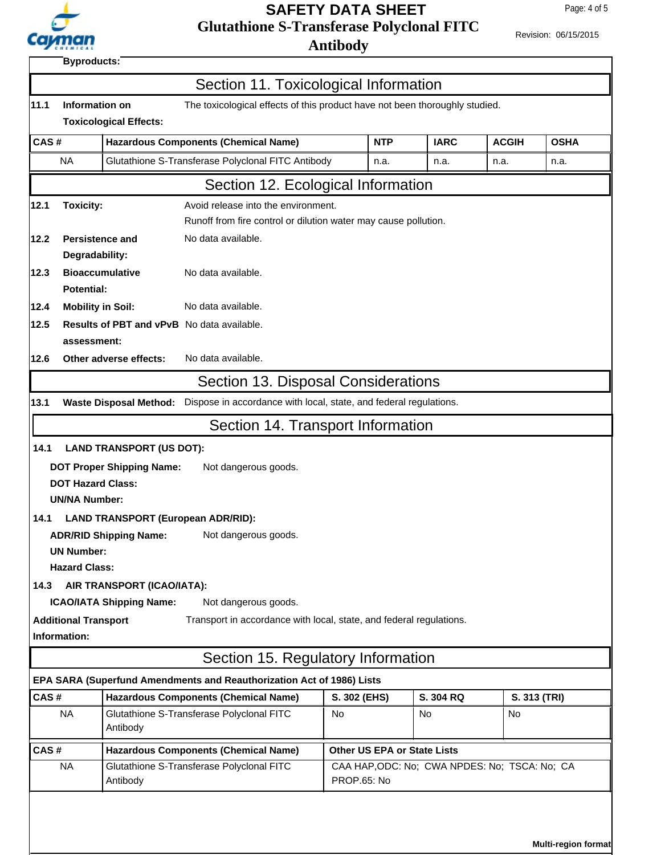

Г

## **Glutathione S-Transferase Polyclonal FITC Antibody SAFETY DATA SHEET**

Ī.

Revision: 06/15/2015

**Byproducts:**

| 11.1      | Information on                                                     |                                           | The toxicological effects of this product have not been thoroughly studied.              |                                               |             |              |              |
|-----------|--------------------------------------------------------------------|-------------------------------------------|------------------------------------------------------------------------------------------|-----------------------------------------------|-------------|--------------|--------------|
|           |                                                                    | <b>Toxicological Effects:</b>             |                                                                                          |                                               |             |              |              |
| CAS#      |                                                                    |                                           | <b>Hazardous Components (Chemical Name)</b>                                              | <b>NTP</b>                                    | <b>IARC</b> | <b>ACGIH</b> | <b>OSHA</b>  |
| <b>NA</b> |                                                                    |                                           | Glutathione S-Transferase Polyclonal FITC Antibody                                       | n.a.                                          | n.a.        | n.a.         | n.a.         |
|           |                                                                    |                                           | Section 12. Ecological Information                                                       |                                               |             |              |              |
| 12.1      | <b>Toxicity:</b><br>Avoid release into the environment.            |                                           |                                                                                          |                                               |             |              |              |
|           | Runoff from fire control or dilution water may cause pollution.    |                                           |                                                                                          |                                               |             |              |              |
| 12.2      | <b>Persistence and</b>                                             |                                           | No data available.                                                                       |                                               |             |              |              |
|           | Degradability:                                                     |                                           |                                                                                          |                                               |             |              |              |
| 12.3      | <b>Potential:</b>                                                  | <b>Bioaccumulative</b>                    | No data available.                                                                       |                                               |             |              |              |
| 12.4      | <b>Mobility in Soil:</b>                                           |                                           | No data available.                                                                       |                                               |             |              |              |
| 12.5      |                                                                    |                                           | <b>Results of PBT and vPvB</b> No data available.                                        |                                               |             |              |              |
|           | assessment:                                                        |                                           |                                                                                          |                                               |             |              |              |
| 12.6      |                                                                    | Other adverse effects:                    | No data available.                                                                       |                                               |             |              |              |
|           |                                                                    |                                           | Section 13. Disposal Considerations                                                      |                                               |             |              |              |
| 13.1      |                                                                    |                                           | Waste Disposal Method: Dispose in accordance with local, state, and federal regulations. |                                               |             |              |              |
|           |                                                                    |                                           | Section 14. Transport Information                                                        |                                               |             |              |              |
| 14.1      |                                                                    | <b>LAND TRANSPORT (US DOT):</b>           |                                                                                          |                                               |             |              |              |
|           |                                                                    | <b>DOT Proper Shipping Name:</b>          | Not dangerous goods.                                                                     |                                               |             |              |              |
|           | <b>DOT Hazard Class:</b>                                           |                                           |                                                                                          |                                               |             |              |              |
|           | <b>UN/NA Number:</b>                                               |                                           |                                                                                          |                                               |             |              |              |
| 14.1      |                                                                    | <b>LAND TRANSPORT (European ADR/RID):</b> |                                                                                          |                                               |             |              |              |
|           |                                                                    | <b>ADR/RID Shipping Name:</b>             | Not dangerous goods.                                                                     |                                               |             |              |              |
|           | <b>UN Number:</b>                                                  |                                           |                                                                                          |                                               |             |              |              |
| 14.3      | <b>Hazard Class:</b>                                               | AIR TRANSPORT (ICAO/IATA):                |                                                                                          |                                               |             |              |              |
|           |                                                                    | <b>ICAO/IATA Shipping Name:</b>           | Not dangerous goods.                                                                     |                                               |             |              |              |
|           | <b>Additional Transport</b>                                        |                                           | Transport in accordance with local, state, and federal regulations.                      |                                               |             |              |              |
|           | Information:                                                       |                                           |                                                                                          |                                               |             |              |              |
|           |                                                                    |                                           | Section 15. Regulatory Information                                                       |                                               |             |              |              |
|           |                                                                    |                                           | EPA SARA (Superfund Amendments and Reauthorization Act of 1986) Lists                    |                                               |             |              |              |
| CAS#      |                                                                    |                                           | <b>Hazardous Components (Chemical Name)</b>                                              | S. 302 (EHS)                                  | S. 304 RQ   |              | S. 313 (TRI) |
|           | <b>NA</b>                                                          | Antibody                                  | Glutathione S-Transferase Polyclonal FITC                                                | <b>No</b>                                     | No          | No           |              |
| CAS#      |                                                                    |                                           | <b>Hazardous Components (Chemical Name)</b>                                              | <b>Other US EPA or State Lists</b>            |             |              |              |
|           | Glutathione S-Transferase Polyclonal FITC<br><b>NA</b><br>Antibody |                                           |                                                                                          | CAA HAP, ODC: No; CWA NPDES: No; TSCA: No; CA |             |              |              |

**Multi-region format**